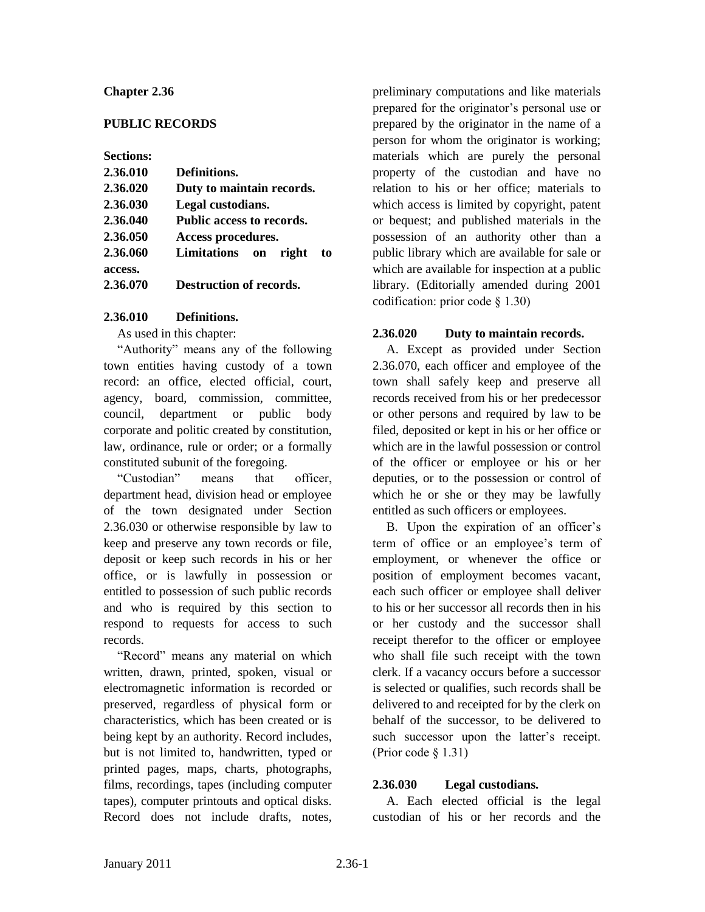#### **Chapter 2.36**

#### **PUBLIC RECORDS**

**Sections:**

| 2.36.010 | Definitions.                     |
|----------|----------------------------------|
| 2.36.020 | Duty to maintain records.        |
| 2.36.030 | Legal custodians.                |
| 2.36.040 | <b>Public access to records.</b> |
| 2.36.050 | Access procedures.               |
| 2.36.060 | Limitations on<br>right<br>to    |
| access.  |                                  |
| 2.36.070 | <b>Destruction of records.</b>   |

#### **2.36.010 Definitions.**

As used in this chapter:

"Authority" means any of the following town entities having custody of a town record: an office, elected official, court, agency, board, commission, committee, council, department or public body corporate and politic created by constitution, law, ordinance, rule or order; or a formally constituted subunit of the foregoing.

"Custodian" means that officer, department head, division head or employee of the town designated under Section 2.36.030 or otherwise responsible by law to keep and preserve any town records or file, deposit or keep such records in his or her office, or is lawfully in possession or entitled to possession of such public records and who is required by this section to respond to requests for access to such records.

"Record" means any material on which written, drawn, printed, spoken, visual or electromagnetic information is recorded or preserved, regardless of physical form or characteristics, which has been created or is being kept by an authority. Record includes, but is not limited to, handwritten, typed or printed pages, maps, charts, photographs, films, recordings, tapes (including computer tapes), computer printouts and optical disks. Record does not include drafts, notes,

preliminary computations and like materials prepared for the originator's personal use or prepared by the originator in the name of a person for whom the originator is working; materials which are purely the personal property of the custodian and have no relation to his or her office; materials to which access is limited by copyright, patent or bequest; and published materials in the possession of an authority other than a public library which are available for sale or which are available for inspection at a public library. (Editorially amended during 2001 codification: prior code § 1.30)

# **2.36.020 Duty to maintain records.**

A. Except as provided under Section 2.36.070, each officer and employee of the town shall safely keep and preserve all records received from his or her predecessor or other persons and required by law to be filed, deposited or kept in his or her office or which are in the lawful possession or control of the officer or employee or his or her deputies, or to the possession or control of which he or she or they may be lawfully entitled as such officers or employees.

B. Upon the expiration of an officer's term of office or an employee's term of employment, or whenever the office or position of employment becomes vacant, each such officer or employee shall deliver to his or her successor all records then in his or her custody and the successor shall receipt therefor to the officer or employee who shall file such receipt with the town clerk. If a vacancy occurs before a successor is selected or qualifies, such records shall be delivered to and receipted for by the clerk on behalf of the successor, to be delivered to such successor upon the latter's receipt. (Prior code § 1.31)

# **2.36.030 Legal custodians.**

A. Each elected official is the legal custodian of his or her records and the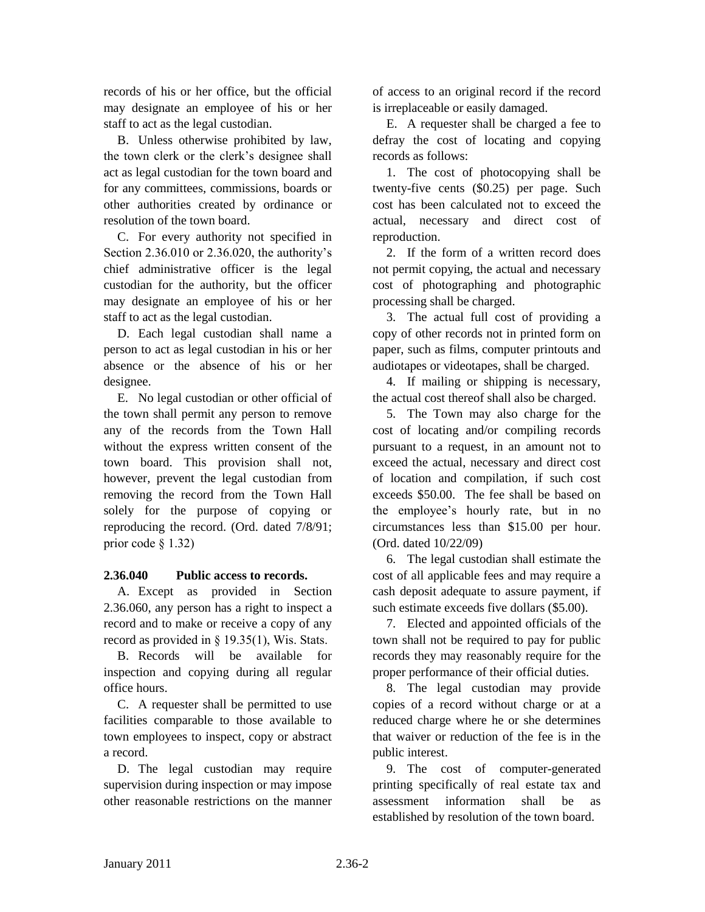records of his or her office, but the official may designate an employee of his or her staff to act as the legal custodian.

B. Unless otherwise prohibited by law, the town clerk or the clerk's designee shall act as legal custodian for the town board and for any committees, commissions, boards or other authorities created by ordinance or resolution of the town board.

C. For every authority not specified in Section 2.36.010 or 2.36.020, the authority's chief administrative officer is the legal custodian for the authority, but the officer may designate an employee of his or her staff to act as the legal custodian.

D. Each legal custodian shall name a person to act as legal custodian in his or her absence or the absence of his or her designee.

E. No legal custodian or other official of the town shall permit any person to remove any of the records from the Town Hall without the express written consent of the town board. This provision shall not, however, prevent the legal custodian from removing the record from the Town Hall solely for the purpose of copying or reproducing the record. (Ord. dated 7/8/91; prior code § 1.32)

# **2.36.040 Public access to records.**

A. Except as provided in Section 2.36.060, any person has a right to inspect a record and to make or receive a copy of any record as provided in § 19.35(1), Wis. Stats.

B. Records will be available for inspection and copying during all regular office hours.

C. A requester shall be permitted to use facilities comparable to those available to town employees to inspect, copy or abstract a record.

D. The legal custodian may require supervision during inspection or may impose other reasonable restrictions on the manner of access to an original record if the record is irreplaceable or easily damaged.

E. A requester shall be charged a fee to defray the cost of locating and copying records as follows:

1. The cost of photocopying shall be twenty-five cents (\$0.25) per page. Such cost has been calculated not to exceed the actual, necessary and direct cost of reproduction.

2. If the form of a written record does not permit copying, the actual and necessary cost of photographing and photographic processing shall be charged.

3. The actual full cost of providing a copy of other records not in printed form on paper, such as films, computer printouts and audiotapes or videotapes, shall be charged.

4. If mailing or shipping is necessary, the actual cost thereof shall also be charged.

5. The Town may also charge for the cost of locating and/or compiling records pursuant to a request, in an amount not to exceed the actual, necessary and direct cost of location and compilation, if such cost exceeds \$50.00. The fee shall be based on the employee's hourly rate, but in no circumstances less than \$15.00 per hour. (Ord. dated 10/22/09)

6. The legal custodian shall estimate the cost of all applicable fees and may require a cash deposit adequate to assure payment, if such estimate exceeds five dollars (\$5.00).

7. Elected and appointed officials of the town shall not be required to pay for public records they may reasonably require for the proper performance of their official duties.

8. The legal custodian may provide copies of a record without charge or at a reduced charge where he or she determines that waiver or reduction of the fee is in the public interest.

9. The cost of computer-generated printing specifically of real estate tax and assessment information shall be as established by resolution of the town board.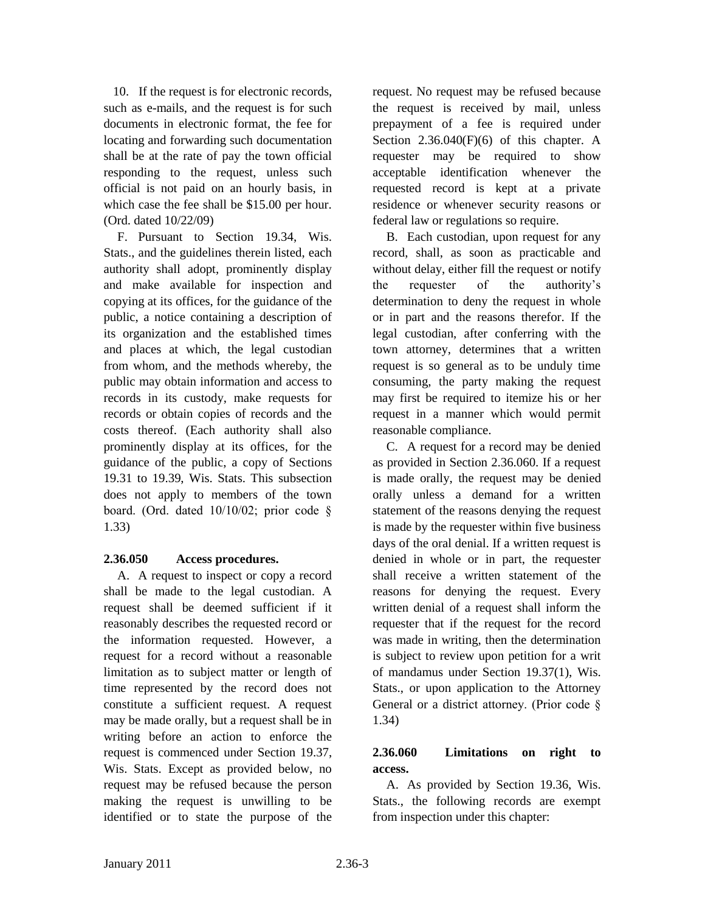10. If the request is for electronic records, such as e-mails, and the request is for such documents in electronic format, the fee for locating and forwarding such documentation shall be at the rate of pay the town official responding to the request, unless such official is not paid on an hourly basis, in which case the fee shall be \$15.00 per hour. (Ord. dated 10/22/09)

F. Pursuant to Section 19.34, Wis. Stats., and the guidelines therein listed, each authority shall adopt, prominently display and make available for inspection and copying at its offices, for the guidance of the public, a notice containing a description of its organization and the established times and places at which, the legal custodian from whom, and the methods whereby, the public may obtain information and access to records in its custody, make requests for records or obtain copies of records and the costs thereof. (Each authority shall also prominently display at its offices, for the guidance of the public, a copy of Sections 19.31 to 19.39, Wis. Stats. This subsection does not apply to members of the town board. (Ord. dated 10/10/02; prior code § 1.33)

#### **2.36.050 Access procedures.**

A. A request to inspect or copy a record shall be made to the legal custodian. A request shall be deemed sufficient if it reasonably describes the requested record or the information requested. However, a request for a record without a reasonable limitation as to subject matter or length of time represented by the record does not constitute a sufficient request. A request may be made orally, but a request shall be in writing before an action to enforce the request is commenced under Section 19.37, Wis. Stats. Except as provided below, no request may be refused because the person making the request is unwilling to be identified or to state the purpose of the

request. No request may be refused because the request is received by mail, unless prepayment of a fee is required under Section  $2.36.040(F)(6)$  of this chapter. A requester may be required to show acceptable identification whenever the requested record is kept at a private residence or whenever security reasons or federal law or regulations so require.

B. Each custodian, upon request for any record, shall, as soon as practicable and without delay, either fill the request or notify the requester of the authority's determination to deny the request in whole or in part and the reasons therefor. If the legal custodian, after conferring with the town attorney, determines that a written request is so general as to be unduly time consuming, the party making the request may first be required to itemize his or her request in a manner which would permit reasonable compliance.

C. A request for a record may be denied as provided in Section 2.36.060. If a request is made orally, the request may be denied orally unless a demand for a written statement of the reasons denying the request is made by the requester within five business days of the oral denial. If a written request is denied in whole or in part, the requester shall receive a written statement of the reasons for denying the request. Every written denial of a request shall inform the requester that if the request for the record was made in writing, then the determination is subject to review upon petition for a writ of mandamus under Section 19.37(1), Wis. Stats., or upon application to the Attorney General or a district attorney. (Prior code § 1.34)

# **2.36.060 Limitations on right to access.**

A. As provided by Section 19.36, Wis. Stats., the following records are exempt from inspection under this chapter: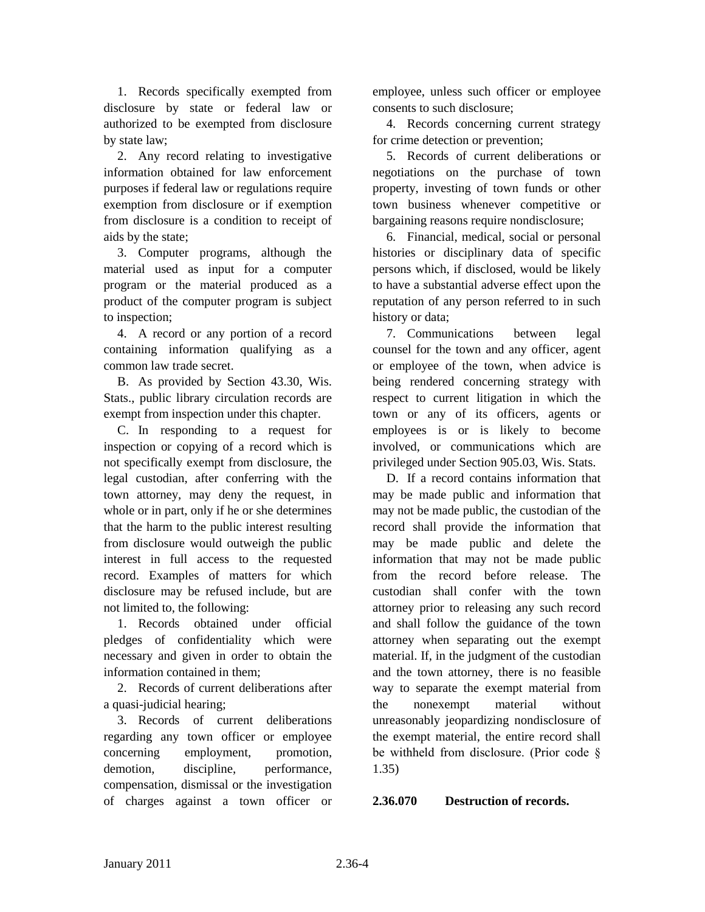1. Records specifically exempted from disclosure by state or federal law or authorized to be exempted from disclosure by state law;

2. Any record relating to investigative information obtained for law enforcement purposes if federal law or regulations require exemption from disclosure or if exemption from disclosure is a condition to receipt of aids by the state;

3. Computer programs, although the material used as input for a computer program or the material produced as a product of the computer program is subject to inspection;

4. A record or any portion of a record containing information qualifying as a common law trade secret.

B. As provided by Section 43.30, Wis. Stats., public library circulation records are exempt from inspection under this chapter.

C. In responding to a request for inspection or copying of a record which is not specifically exempt from disclosure, the legal custodian, after conferring with the town attorney, may deny the request, in whole or in part, only if he or she determines that the harm to the public interest resulting from disclosure would outweigh the public interest in full access to the requested record. Examples of matters for which disclosure may be refused include, but are not limited to, the following:

1. Records obtained under official pledges of confidentiality which were necessary and given in order to obtain the information contained in them;

2. Records of current deliberations after a quasi-judicial hearing;

3. Records of current deliberations regarding any town officer or employee concerning employment, promotion, demotion, discipline, performance, compensation, dismissal or the investigation of charges against a town officer or employee, unless such officer or employee consents to such disclosure;

4. Records concerning current strategy for crime detection or prevention;

5. Records of current deliberations or negotiations on the purchase of town property, investing of town funds or other town business whenever competitive or bargaining reasons require nondisclosure;

6. Financial, medical, social or personal histories or disciplinary data of specific persons which, if disclosed, would be likely to have a substantial adverse effect upon the reputation of any person referred to in such history or data;

7. Communications between legal counsel for the town and any officer, agent or employee of the town, when advice is being rendered concerning strategy with respect to current litigation in which the town or any of its officers, agents or employees is or is likely to become involved, or communications which are privileged under Section 905.03, Wis. Stats.

D. If a record contains information that may be made public and information that may not be made public, the custodian of the record shall provide the information that may be made public and delete the information that may not be made public from the record before release. The custodian shall confer with the town attorney prior to releasing any such record and shall follow the guidance of the town attorney when separating out the exempt material. If, in the judgment of the custodian and the town attorney, there is no feasible way to separate the exempt material from the nonexempt material without unreasonably jeopardizing nondisclosure of the exempt material, the entire record shall be withheld from disclosure. (Prior code § 1.35)

# **2.36.070 Destruction of records.**